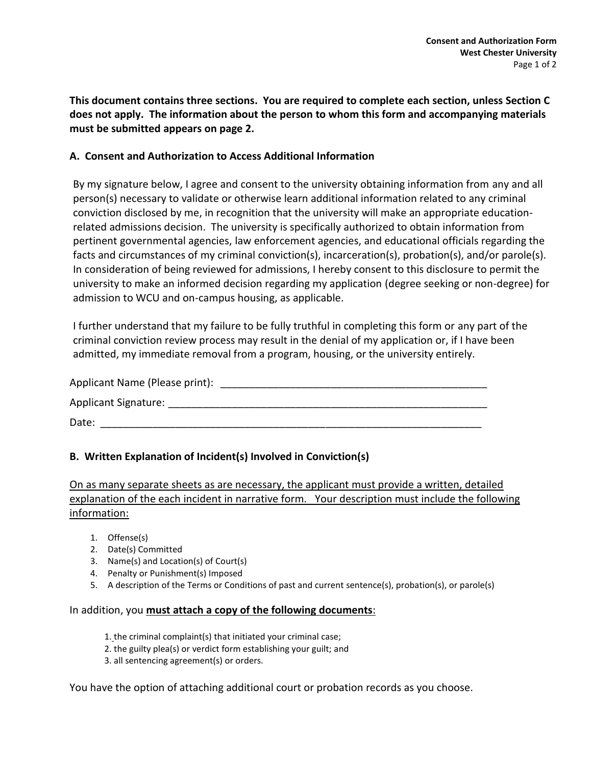**This document contains three sections. You are required to complete each section, unless Section C does not apply. The information about the person to whom this form and accompanying materials must be submitted appears on page 2.**

## **A. Consent and Authorization to Access Additional Information**

By my signature below, I agree and consent to the university obtaining information from any and all person(s) necessary to validate or otherwise learn additional information related to any criminal conviction disclosed by me, in recognition that the university will make an appropriate educationrelated admissions decision. The university is specifically authorized to obtain information from pertinent governmental agencies, law enforcement agencies, and educational officials regarding the facts and circumstances of my criminal conviction(s), incarceration(s), probation(s), and/or parole(s). In consideration of being reviewed for admissions, I hereby consent to this disclosure to permit the university to make an informed decision regarding my application (degree seeking or non-degree) for admission to WCU and on-campus housing, as applicable.

I further understand that my failure to be fully truthful in completing this form or any part of the criminal conviction review process may result in the denial of my application or, if I have been admitted, my immediate removal from a program, housing, or the university entirely.

| Applicant Name (Please print): |  |
|--------------------------------|--|
| <b>Applicant Signature:</b>    |  |
| Date:                          |  |

## **B. Written Explanation of Incident(s) Involved in Conviction(s)**

On as many separate sheets as are necessary, the applicant must provide a written, detailed explanation of the each incident in narrative form. Your description must include the following information:

- 1. Offense(s)
- 2. Date(s) Committed
- 3. Name(s) and Location(s) of Court(s)
- 4. Penalty or Punishment(s) Imposed
- 5. A description of the Terms or Conditions of past and current sentence(s), probation(s), or parole(s)

## In addition, you **must attach a copy of the following documents**:

- 1. the criminal complaint(s) that initiated your criminal case;
- 2. the guilty plea(s) or verdict form establishing your guilt; and
- 3. all sentencing agreement(s) or orders.

You have the option of attaching additional court or probation records as you choose.